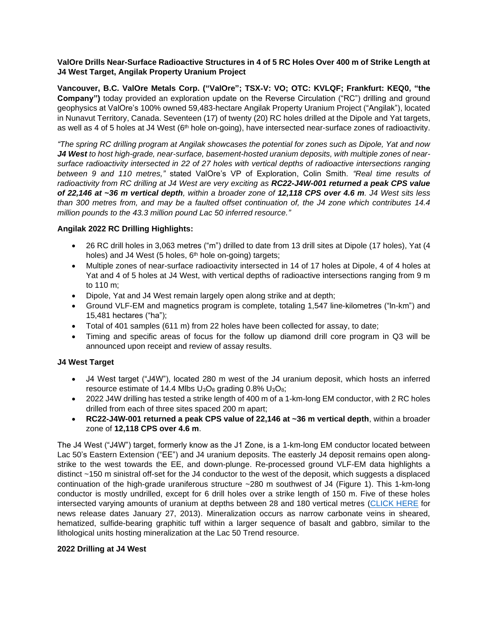## **ValOre Drills Near-Surface Radioactive Structures in 4 of 5 RC Holes Over 400 m of Strike Length at J4 West Target, Angilak Property Uranium Project**

**Vancouver, B.C. ValOre Metals Corp. ("ValOre"; TSX**‐**V: VO; OTC: KVLQF; Frankfurt: KEQ0, "the Company")** today provided an exploration update on the Reverse Circulation ("RC") drilling and ground geophysics at ValOre's 100% owned 59,483-hectare Angilak Property Uranium Project ("Angilak"), located in Nunavut Territory, Canada. Seventeen (17) of twenty (20) RC holes drilled at the Dipole and Yat targets, as well as 4 of 5 holes at J4 West (6<sup>th</sup> hole on-going), have intersected near-surface zones of radioactivity.

*"The spring RC drilling program at Angilak showcases the potential for zones such as Dipole, Yat and now J4 West to host high-grade, near-surface, basement-hosted uranium deposits, with multiple zones of nearsurface radioactivity intersected in 22 of 27 holes with vertical depths of radioactive intersections ranging between 9 and 110 metres,"* stated ValOre's VP of Exploration, Colin Smith. *"Real time results of radioactivity from RC drilling at J4 West are very exciting as RC22-J4W-001 returned a peak CPS value of 22,146 at ~36 m vertical depth, within a broader zone of 12,118 CPS over 4.6 m. J4 West sits less than 300 metres from, and may be a faulted offset continuation of, the J4 zone which contributes 14.4 million pounds to the 43.3 million pound Lac 50 inferred resource."*

## **Angilak 2022 RC Drilling Highlights:**

- 26 RC drill holes in 3,063 metres ("m") drilled to date from 13 drill sites at Dipole (17 holes), Yat (4 holes) and J4 West (5 holes,  $6<sup>th</sup>$  hole on-going) targets;
- Multiple zones of near-surface radioactivity intersected in 14 of 17 holes at Dipole, 4 of 4 holes at Yat and 4 of 5 holes at J4 West, with vertical depths of radioactive intersections ranging from 9 m to 110 m;
- Dipole, Yat and J4 West remain largely open along strike and at depth;
- Ground VLF-EM and magnetics program is complete, totaling 1,547 line-kilometres ("ln-km") and 15,481 hectares ("ha");
- Total of 401 samples (611 m) from 22 holes have been collected for assay, to date;
- Timing and specific areas of focus for the follow up diamond drill core program in Q3 will be announced upon receipt and review of assay results.

## **J4 West Target**

- J4 West target ("J4W"), located 280 m west of the J4 uranium deposit, which hosts an inferred resource estimate of 14.4 Mlbs  $U_3O_8$  grading 0.8%  $U_3O_8$ ;
- 2022 J4W drilling has tested a strike length of 400 m of a 1-km-long EM conductor, with 2 RC holes drilled from each of three sites spaced 200 m apart;
- **RC22-J4W-001 returned a peak CPS value of 22,146 at ~36 m vertical depth**, within a broader zone of **12,118 CPS over 4.6 m**.

The J4 West ("J4W") target, formerly know as the J1 Zone, is a 1-km-long EM conductor located between Lac 50's Eastern Extension ("EE") and J4 uranium deposits. The easterly J4 deposit remains open alongstrike to the west towards the EE, and down-plunge. Re-processed ground VLF-EM data highlights a distinct ~150 m sinistral off-set for the J4 conductor to the west of the deposit, which suggests a displaced continuation of the high-grade uraniferous structure ~280 m southwest of J4 (Figure 1). This 1-km-long conductor is mostly undrilled, except for 6 drill holes over a strike length of 150 m. Five of these holes intersected varying amounts of uranium at depths between 28 and 180 vertical metres [\(CLICK HERE](https://valoremetals.com/news-media/news-releases/archive/index.php?content_id=152) for news release dates January 27, 2013). Mineralization occurs as narrow carbonate veins in sheared, hematized, sulfide-bearing graphitic tuff within a larger sequence of basalt and gabbro, similar to the lithological units hosting mineralization at the Lac 50 Trend resource.

## **2022 Drilling at J4 West**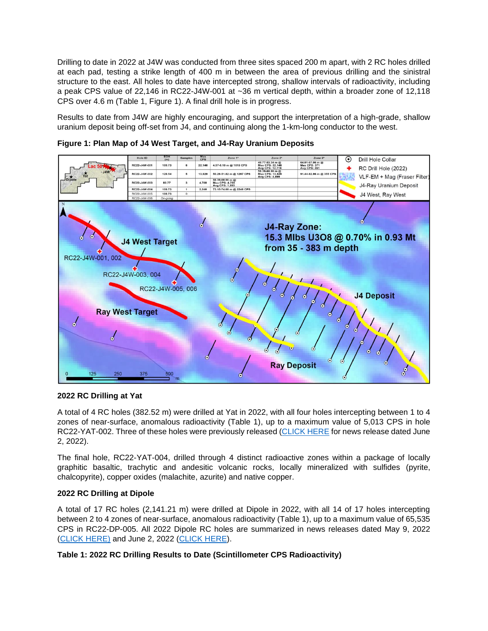Drilling to date in 2022 at J4W was conducted from three sites spaced 200 m apart, with 2 RC holes drilled at each pad, testing a strike length of 400 m in between the area of previous drilling and the sinistral structure to the east. All holes to date have intercepted strong, shallow intervals of radioactivity, including a peak CPS value of 22,146 in RC22-J4W-001 at ~36 m vertical depth, within a broader zone of 12,118 CPS over 4.6 m (Table 1, Figure 1). A final drill hole is in progress.

Results to date from J4W are highly encouraging, and support the interpretation of a high-grade, shallow uranium deposit being off-set from J4, and continuing along the 1-km-long conductor to the west.



**Figure 1: Plan Map of J4 West Target, and J4-Ray Uranium Deposits**

## **2022 RC Drilling at Yat**

A total of 4 RC holes (382.52 m) were drilled at Yat in 2022, with all four holes intercepting between 1 to 4 zones of near-surface, anomalous radioactivity (Table 1), up to a maximum value of 5,013 CPS in hole RC22-YAT-002. Three of these holes were previously released [\(CLICK HERE](https://valoremetals.com/news-media/news-releases/2022/valore-intersects-radioactive-structures-in-17-of-20-rc-drill-holes-at-dipole-and-yat-targets-angilak-property-uranium-project) for news release dated June 2, 2022).

The final hole, RC22-YAT-004, drilled through 4 distinct radioactive zones within a package of locally graphitic basaltic, trachytic and andesitic volcanic rocks, locally mineralized with sulfides (pyrite, chalcopyrite), copper oxides (malachite, azurite) and native copper.

## **2022 RC Drilling at Dipole**

A total of 17 RC holes (2,141.21 m) were drilled at Dipole in 2022, with all 14 of 17 holes intercepting between 2 to 4 zones of near-surface, anomalous radioactivity (Table 1), up to a maximum value of 65,535 CPS in RC22-DP-005. All 2022 Dipole RC holes are summarized in news releases dated May 9, 2022 [\(CLICK HERE\)](https://valoremetals.com/news-media/news-releases/2022/valore-drills-multiple-zones-of-near-surface-radioactivity-at-dipole-target-angilak-property-uranium-project--20220509) and June 2, 2022 [\(CLICK HERE\)](https://valoremetals.com/news-media/news-releases/2022/valore-intersects-radioactive-structures-in-17-of-20-rc-drill-holes-at-dipole-and-yat-targets-angilak-property-uranium-project).

# **Table 1: 2022 RC Drilling Results to Date (Scintillometer CPS Radioactivity)**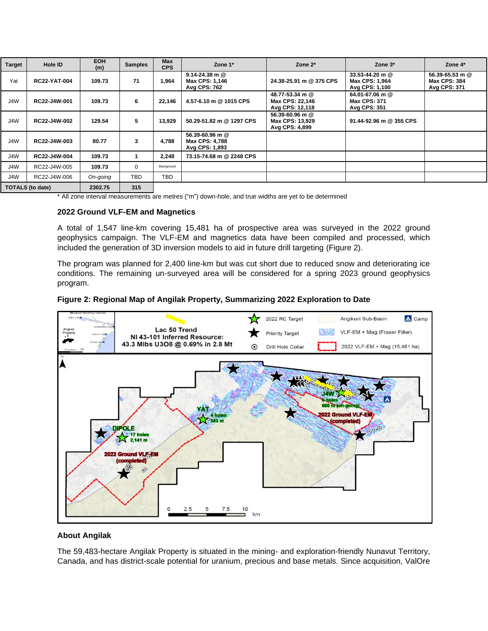| <b>Target</b>         | Hole ID             | <b>EOH</b><br>(m) | <b>Samples</b> | Max<br><b>CPS</b> | Zone 1*                                                     | Zone $2^*$                                            | Zone 3*                                                | Zone 4*                                                       |
|-----------------------|---------------------|-------------------|----------------|-------------------|-------------------------------------------------------------|-------------------------------------------------------|--------------------------------------------------------|---------------------------------------------------------------|
| Yat                   | <b>RC22-YAT-004</b> | 109.73            | 71             | 1.964             | $9.14 - 24.38$ m @<br>Max CPS: 1,146<br><b>Avg CPS: 762</b> | 24.38-25.91 m @ 375 CPS                               | 33.53-44.20 m @<br>Max CPS: 1,964<br>Avg CPS: 1,100    | 56.39-65.53 m @<br><b>Max CPS: 384</b><br><b>Avg CPS: 371</b> |
| J4W                   | RC22-J4W-001        | 109.73            | 6              | 22,146            | 4.57-6.10 m @ 1015 CPS                                      | 48.77-53.34 m @<br>Max CPS: 22.146<br>Avg CPS: 12,118 | 64.01-67.06 m @<br><b>Max CPS: 371</b><br>Avg CPS: 351 |                                                               |
| J4W                   | RC22-J4W-002        | 129.54            | 5              | 13.929            | 50.29-51.82 m @ 1297 CPS                                    | 56.39-60.96 m @<br>Max CPS: 13,929<br>Avg CPS: 4,899  | 91.44-92.96 m @ 355 CPS                                |                                                               |
| J4W                   | RC22-J4W-003        | 80.77             | 3              | 4,788             | 56.39-60.96 m @<br>Max CPS: 4,788<br>Avg CPS: 1,893         |                                                       |                                                        |                                                               |
| J4W                   | RC22-J4W-004        | 109.73            |                | 2.248             | 73.15-74.68 m @ 2248 CPS                                    |                                                       |                                                        |                                                               |
| J4W                   | RC22-J4W-005        | 109.73            | $\Omega$       | Background        |                                                             |                                                       |                                                        |                                                               |
| J4W                   | RC22-J4W-006        | On-going          | TBD            | <b>TBD</b>        |                                                             |                                                       |                                                        |                                                               |
| $TOTAI C (1 - 4 - 1)$ |                     | 220275            | 24E            |                   |                                                             |                                                       |                                                        |                                                               |

**TOTALS (to date) 2302.75 315**

\* All zone interval measurements are metres ("m") down-hole, and true widths are yet to be determined

#### **2022 Ground VLF-EM and Magnetics**

A total of 1,547 line-km covering 15,481 ha of prospective area was surveyed in the 2022 ground geophysics campaign. The VLF-EM and magnetics data have been compiled and processed, which included the generation of 3D inversion models to aid in future drill targeting (Figure 2).

The program was planned for 2,400 line-km but was cut short due to reduced snow and deteriorating ice conditions. The remaining un-surveyed area will be considered for a spring 2023 ground geophysics program.





### **About Angilak**

The 59,483-hectare Angilak Property is situated in the mining- and exploration-friendly Nunavut Territory, Canada, and has district-scale potential for uranium, precious and base metals. Since acquisition, ValOre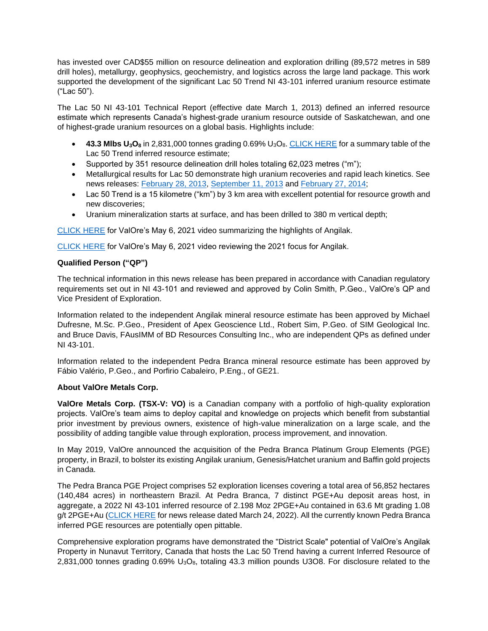has invested over CAD\$55 million on resource delineation and exploration drilling (89,572 metres in 589 drill holes), metallurgy, geophysics, geochemistry, and logistics across the large land package. This work supported the development of the significant Lac 50 Trend NI 43-101 inferred uranium resource estimate ("Lac 50").

The Lac 50 NI 43-101 Technical Report (effective date March 1, 2013) defined an inferred resource estimate which represents Canada's highest-grade uranium resource outside of Saskatchewan, and one of highest-grade uranium resources on a global basis. Highlights include:

- **43.3 Mlbs U3O<sup>8</sup>** in 2,831,000 tonnes grading 0.69% U3O8[. CLICK HERE](http://valoremetals.com/_resources/reports/Angilak-43101Resource-March2013.pdf) for a summary table of the Lac 50 Trend inferred resource estimate;
- Supported by 351 resource delineation drill holes totaling 62,023 metres ("m");
- Metallurgical results for Lac 50 demonstrate high uranium recoveries and rapid leach kinetics. See news releases: [February 28, 2013,](http://valoremetals.com/news-media/news-releases/archive/index.php?content_id=142) [September 11, 2013](http://valoremetals.com/news-media/news-releases/archive/index.php?content_id=154) and [February 27, 2014;](http://valoremetals.com/news-media/news-releases/archive/index.php?content_id=158)
- Lac 50 Trend is a 15 kilometre ("km") by 3 km area with excellent potential for resource growth and new discoveries;
- Uranium mineralization starts at surface, and has been drilled to 380 m vertical depth;

[CLICK HERE](https://www.youtube.com/watch?v=RhudtZ8UDK8) for ValOre's May 6, 2021 video summarizing the highlights of Angilak.

[CLICK HERE](https://www.youtube.com/watch?v=KfRybxN6so8) for ValOre's May 6, 2021 video reviewing the 2021 focus for Angilak.

## **Qualified Person ("QP")**

The technical information in this news release has been prepared in accordance with Canadian regulatory requirements set out in NI 43-101 and reviewed and approved by Colin Smith, P.Geo., ValOre's QP and Vice President of Exploration.

Information related to the independent Angilak mineral resource estimate has been approved by Michael Dufresne, M.Sc. P.Geo., President of Apex Geoscience Ltd., Robert Sim, P.Geo. of SIM Geological Inc. and Bruce Davis, FAusIMM of BD Resources Consulting Inc., who are independent QPs as defined under NI 43‐101.

Information related to the independent Pedra Branca mineral resource estimate has been approved by Fábio Valério, P.Geo., and Porfirio Cabaleiro, P.Eng., of GE21.

### **About ValOre Metals Corp.**

**ValOre Metals Corp. (TSX**‐**V: VO)** is a Canadian company with a portfolio of high‐quality exploration projects. ValOre's team aims to deploy capital and knowledge on projects which benefit from substantial prior investment by previous owners, existence of high-value mineralization on a large scale, and the possibility of adding tangible value through exploration, process improvement, and innovation.

In May 2019, ValOre announced the acquisition of the Pedra Branca Platinum Group Elements (PGE) property, in Brazil, to bolster its existing Angilak uranium, Genesis/Hatchet uranium and Baffin gold projects in Canada.

The Pedra Branca PGE Project comprises 52 exploration licenses covering a total area of 56,852 hectares (140,484 acres) in northeastern Brazil. At Pedra Branca, 7 distinct PGE+Au deposit areas host, in aggregate, a 2022 NI 43-101 inferred resource of 2.198 Moz 2PGE+Au contained in 63.6 Mt grading 1.08 g/t 2PGE+Au [\(CLICK HERE](http://valoremetals.com/news-media/news-releases/2022/valore-expands-pedra-branca-inferred-mineral-resource-by-106-to-22-million-ounces-at-108-gt-2pgeau) for news release dated March 24, 2022). All the currently known Pedra Branca inferred PGE resources are potentially open pittable.

Comprehensive exploration programs have demonstrated the "District Scale" potential of ValOre's Angilak Property in Nunavut Territory, Canada that hosts the Lac 50 Trend having a current Inferred Resource of 2,831,000 tonnes grading  $0.69\%$  U<sub>3</sub>O<sub>8</sub>, totaling 43.3 million pounds U3O8. For disclosure related to the